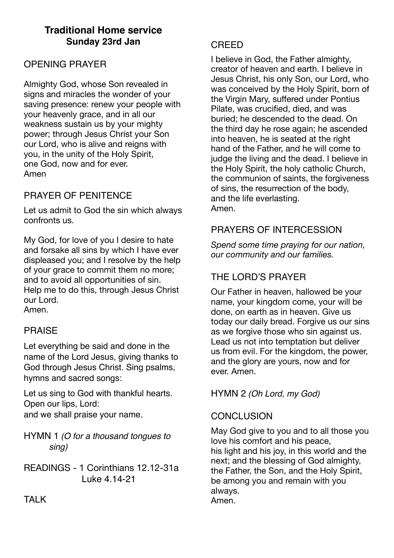# **Traditional Home service Sunday 23rd Jan**

# OPENING PRAYER

Almighty God, whose Son revealed in signs and miracles the wonder of your saving presence: renew your people with your heavenly grace, and in all our weakness sustain us by your mighty power; through Jesus Christ your Son our Lord, who is alive and reigns with you, in the unity of the Holy Spirit, one God, now and for ever. Amen

## PRAYER OF PENITENCE

Let us admit to God the sin which always confronts us.

My God, for love of you I desire to hate and forsake all sins by which I have ever displeased you; and I resolve by the help of your grace to commit them no more; and to avoid all opportunities of sin. Help me to do this, through Jesus Christ our Lord. Amen.

## PRAISE

Let everything be said and done in the name of the Lord Jesus, giving thanks to God through Jesus Christ. Sing psalms, hymns and sacred songs:

Let us sing to God with thankful hearts. Open our lips, Lord: and we shall praise your name.

HYMN 1 *(O for a thousand tongues to sing)*

READINGS - 1 Corinthians 12.12-31a Luke 4.14-21

#### CREED

I believe in God, the Father almighty, creator of heaven and earth. I believe in Jesus Christ, his only Son, our Lord, who was conceived by the Holy Spirit, born of the Virgin Mary, suffered under Pontius Pilate, was crucified, died, and was buried; he descended to the dead. On the third day he rose again; he ascended into heaven, he is seated at the right hand of the Father, and he will come to judge the living and the dead. I believe in the Holy Spirit, the holy catholic Church, the communion of saints, the forgiveness of sins, the resurrection of the body, and the life everlasting. Amen.

# PRAYERS OF INTERCESSION

*Spend some time praying for our nation, our community and our families.* 

# THE LORD'S PRAYER

Our Father in heaven, hallowed be your name, your kingdom come, your will be done, on earth as in heaven. Give us today our daily bread. Forgive us our sins as we forgive those who sin against us. Lead us not into temptation but deliver us from evil. For the kingdom, the power, and the glory are yours, now and for ever. Amen.

#### HYMN 2 *(Oh Lord, my God)*

## **CONCLUSION**

May God give to you and to all those you love his comfort and his peace, his light and his joy, in this world and the next; and the blessing of God almighty, the Father, the Son, and the Holy Spirit, be among you and remain with you always. Amen.

**TAI K**